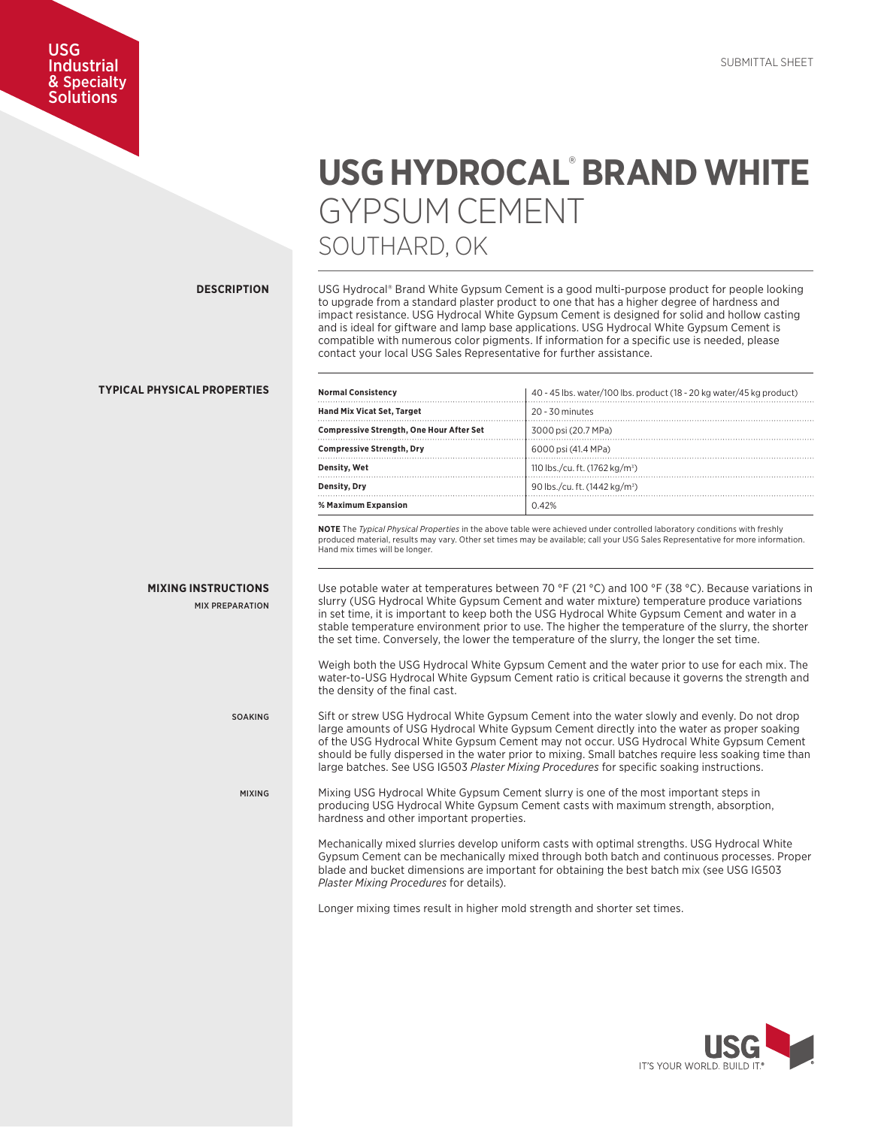## USG Industrial & Specialty Solutions

## **USG HYDROCAL**® **BRAND WHITE** GYPSUM CEMENT SOUTHARD, OK

**DESCRIPTION**

USG Hydrocal® Brand White Gypsum Cement is a good multi-purpose product for people looking to upgrade from a standard plaster product to one that has a higher degree of hardness and impact resistance. USG Hydrocal White Gypsum Cement is designed for solid and hollow casting and is ideal for giftware and lamp base applications. USG Hydrocal White Gypsum Cement is compatible with numerous color pigments. If information for a specific use is needed, please contact your local USG Sales Representative for further assistance.

| <b>Normal Consistency</b>                       | 40 - 45 lbs. water/100 lbs. product (18 - 20 kg water/45 kg product) |
|-------------------------------------------------|----------------------------------------------------------------------|
| <b>Hand Mix Vicat Set, Target</b>               | $20 - 30$ minutes                                                    |
| <b>Compressive Strength, One Hour After Set</b> | 3000 psi (20.7 MPa)                                                  |
| <b>Compressive Strength, Dry</b>                | 6000 psi (41.4 MPa)                                                  |
| Density, Wet                                    | 110 lbs./cu. ft. (1762 kg/m <sup>3</sup> )                           |
| Density, Dry                                    | 90 lbs./cu. ft. (1442 kg/m <sup>3</sup> )                            |
| % Maximum Expansion                             | 0.42%                                                                |

**NOTE** The *Typical Physical Properties* in the above table were achieved under controlled laboratory conditions with freshly produced material, results may vary. Other set times may be available; call your USG Sales Representative for more information. Hand mix times will be longer.

Use potable water at temperatures between 70 °F (21 °C) and 100 °F (38 °C). Because variations in slurry (USG Hydrocal White Gypsum Cement and water mixture) temperature produce variations in set time, it is important to keep both the USG Hydrocal White Gypsum Cement and water in a stable temperature environment prior to use. The higher the temperature of the slurry, the shorter the set time. Conversely, the lower the temperature of the slurry, the longer the set time.

Weigh both the USG Hydrocal White Gypsum Cement and the water prior to use for each mix. The water-to-USG Hydrocal White Gypsum Cement ratio is critical because it governs the strength and the density of the final cast.

Sift or strew USG Hydrocal White Gypsum Cement into the water slowly and evenly. Do not drop large amounts of USG Hydrocal White Gypsum Cement directly into the water as proper soaking of the USG Hydrocal White Gypsum Cement may not occur. USG Hydrocal White Gypsum Cement should be fully dispersed in the water prior to mixing. Small batches require less soaking time than large batches. See USG IG503 *Plaster Mixing Procedures* for specific soaking instructions.

Mixing USG Hydrocal White Gypsum Cement slurry is one of the most important steps in producing USG Hydrocal White Gypsum Cement casts with maximum strength, absorption, hardness and other important properties.

Mechanically mixed slurries develop uniform casts with optimal strengths. USG Hydrocal White Gypsum Cement can be mechanically mixed through both batch and continuous processes. Proper blade and bucket dimensions are important for obtaining the best batch mix (see USG IG503 *Plaster Mixing Procedures* for details).

Longer mixing times result in higher mold strength and shorter set times.



## **TYPICAL PHYSICAL PROPERTIES**

**MIXING INSTRUCTIONS**

MIX PREPARATION

SOAKING

MIXING